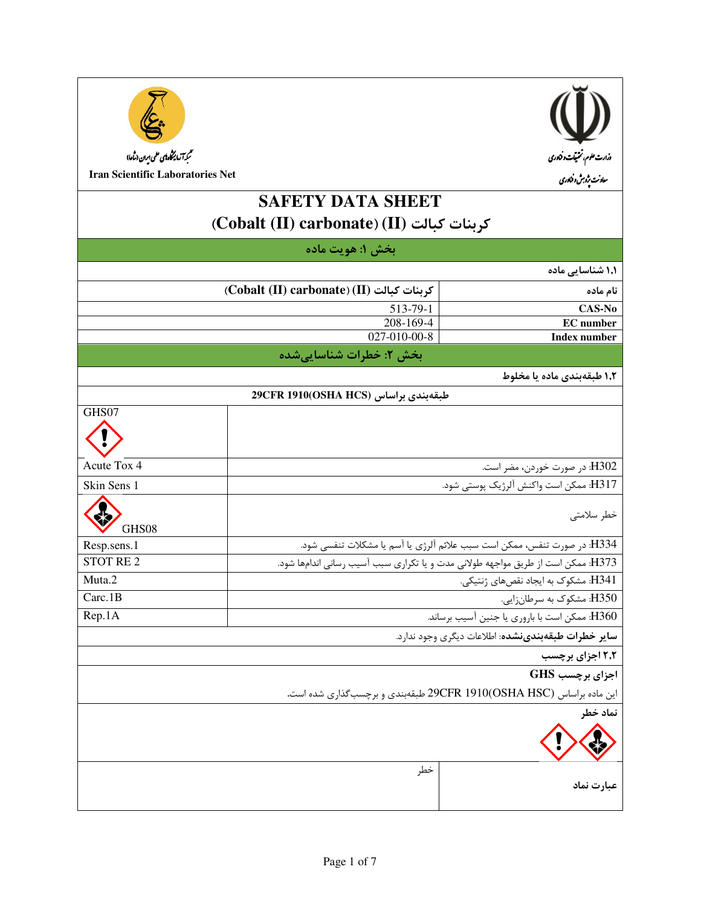



**Iran Scientific Laboratories Net** 

# **SAFETY DATA SHEET** (Cobalt (II) carbonate) (II) كربنات كبالت

| بخش ۱: هويت ماده                                   |                                                                                  |                                                                      |
|----------------------------------------------------|----------------------------------------------------------------------------------|----------------------------------------------------------------------|
|                                                    |                                                                                  | ۱٫۱ شناسایی ماده                                                     |
|                                                    | (Cobalt (II) carbonate) (II) كربنات كبالت                                        | نام ماده                                                             |
|                                                    | 513-79-1                                                                         | CAS-No                                                               |
|                                                    | 208-169-4<br><b>EC</b> number                                                    |                                                                      |
| 027-010-00-8<br><b>Index number</b>                |                                                                                  |                                                                      |
| بخش ۲: خطرات شناساییشده                            |                                                                                  |                                                                      |
|                                                    | ۱٫۲ طبقهبندی ماده یا مخلوط                                                       |                                                                      |
| طبقەبندى براساس 29CFR 1910(OSHA HCS)               |                                                                                  |                                                                      |
| GHS07                                              |                                                                                  |                                                                      |
|                                                    |                                                                                  |                                                                      |
| Acute Tox 4<br>H302 در صورت خوردن، مضر است.        |                                                                                  |                                                                      |
| Skin Sens 1                                        | H317: ممكن است واكنش ألرژيك پوستى شود.                                           |                                                                      |
| GHS08                                              | خطر سلامتى                                                                       |                                                                      |
| Resp.sens.1                                        | H334: در صورت تنفس، ممكن است سبب علائم آلرژي يا آسم يا مشكلات تنفسي شود.         |                                                                      |
| <b>STOT RE2</b>                                    | H373: ممكن است از طريق مواجهه طولاني مدت و يا تكراري سبب آسيب رساني اندامها شود. |                                                                      |
| Muta.2                                             | H341: مشكوك به ايجاد نقصهاي ژنتيكي.                                              |                                                                      |
| Carc.1B                                            | H350: مشکوک به سرطانزایی.                                                        |                                                                      |
| Rep.1A                                             | H360 ممكن است با باروري يا جنين آسيب برساند.                                     |                                                                      |
| ساير خطرات طبقهبندىنشده: اطلاعات ديگرى وجود ندارد. |                                                                                  |                                                                      |
|                                                    |                                                                                  | ۲٫۲ اجزای برچسب                                                      |
|                                                    |                                                                                  | اجزای برچسب GHS                                                      |
|                                                    |                                                                                  | این ماده براساس 29CFR 1910(OSHA HSC) طبقهبندی و برچسب گذاری شده است. |
|                                                    |                                                                                  | نماد خطر                                                             |
|                                                    |                                                                                  |                                                                      |
|                                                    | خطر                                                                              | عبارت نماد                                                           |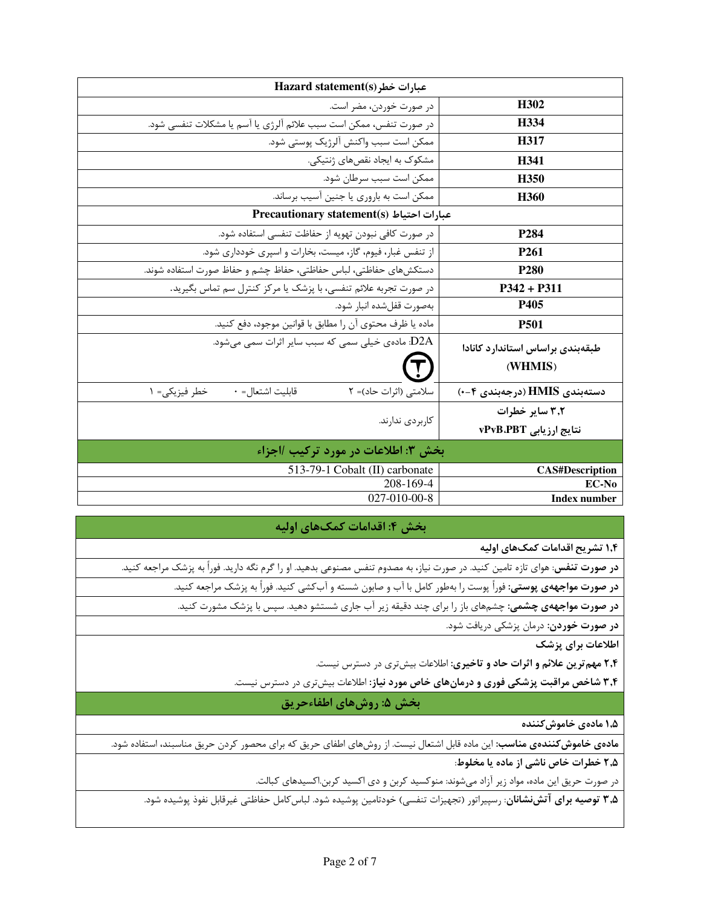| Hazard statement(s) عبارات خطر                                     |                                  |
|--------------------------------------------------------------------|----------------------------------|
| در صورت خوردن، مضر است.                                            | H302                             |
| در صورت تنفس، ممكن است سبب علائم آلرژي يا آسم يا مشكلات تنفسي شود. | H <sub>334</sub>                 |
| ممكن است سبب واكنش آلرژيك پوستي شود.                               | H317                             |
| مشکوک به ایجاد نقصهای ژنتیکی.                                      | H341                             |
| ممكن است سبب سرطان شود.                                            | H <sub>350</sub>                 |
| ممكن است به باروري يا جنين أسيب برساند.                            | H <sub>360</sub>                 |
| Precautionary statement(s) عبارات احتياط                           |                                  |
| در صورت كافي نبودن تهويه از حفاظت تنفسي استفاده شود.               | P <sub>284</sub>                 |
| از تنفس غبار، فیوم، گاز، میست، بخارات و اسپری خودداری شود.         | P <sub>261</sub>                 |
| دستكشهاى حفاظتى، لباس حفاظتى، حفاظ چشم و حفاظ صورت استفاده شوند.   | <b>P280</b>                      |
| در صورت تجربه علائم تنفسي، با پزشک يا مرکز کنترل سم تماس بگيريد.   | $P342 + P311$                    |
| بەصورت قفلشده انبار شود.                                           | P405                             |
| ماده يا ظرف محتوى آن را مطابق با قوانين موجود، دفع كنيد.           | <b>P501</b>                      |
| D2A: مادەی خیلی سمی که سبب سایر اثرات سمی میشود.                   | طبقهبندی براساس استاندارد کانادا |
|                                                                    | (WHMIS)                          |
| قابليت اشتعال= ٠<br>سلامتی (اثرات حاد)= ٢<br>خطر فيزيكي= ١         | دستەبندى HMIS (درجەبندى ۴-۰)     |
|                                                                    | ۳٫۲ سایر خطرات                   |
| کاربردی ندارند.                                                    | نتايج ارزيابي vPvB.PBT           |
| بخش ٣: اطلاعات در مورد تركيب /اجزاء                                |                                  |
| 513-79-1 Cobalt (II) carbonate                                     | <b>CAS#Description</b>           |
| 208-169-4                                                          | EC-No                            |
| 027-010-00-8                                                       | <b>Index number</b>              |

#### بخش ۴: اقدامات کمکهای اولیه

۱٫۴ تشریح اقدامات کمکهای اولیه

**در صورت تنفس**: هوای تازه تامین کنید. در صورت نیاز، به مصدوم تنفس مصنوعی بدهید. او را گرم نگه دارید. فوراً به پزشک مراجعه کنید.

**در صورت مواجههی پوستی:** فوراً پوست را بهطور کامل با آب و صابون شسته و آبکشی کنید. فوراً به پزشک مراجعه کنید.

**در صورت مواجههی چشمی:** چشمهای باز را برای چند دقیقه زیر آب جاری شستشو دهید. سپس با پزشک مشورت کنید.

**در صورت خوردن:** درمان پزشکی دریافت شود.

اطلاعات برای پزشک

۲٫۴ مهم ترین علائم و اثرات حاد و تاخیری: اطلاعات بیش تری در دسترس نیست.

۳٫۴ شاخص مراقبت پزشکی فوری و درمانهای خاص مورد نیاز: اطلاعات بیشتری در دسترس نیست.

## بخش ۵: روشهای اطفاءحریق

۱٫۵ مادەي خاموش *ك*نندە

**مادهی خاموش** *ک***نندهی مناسب**: این ماده قابل اشتعال نیست. از روشهای اطفای حریق که برای محصور کردن حریق مناسبند، استفاده شود.

۲٫۵ خطرات خاص ناشی از ماده یا مخلوط:

در صورت حریق این ماده، مواد زیر آزاد میشوند: منوکسید کربن و دی اکسید کربن.اکسیدهای کبالت.

**۳٫۵ توصیه برای آتشنشانان**: رسپیراتور (تجهیزات تنفسی) خودتامین پوشیده شود. لباس *ک*امل حفاظتی غیرقابل نفوذ پوشیده شود.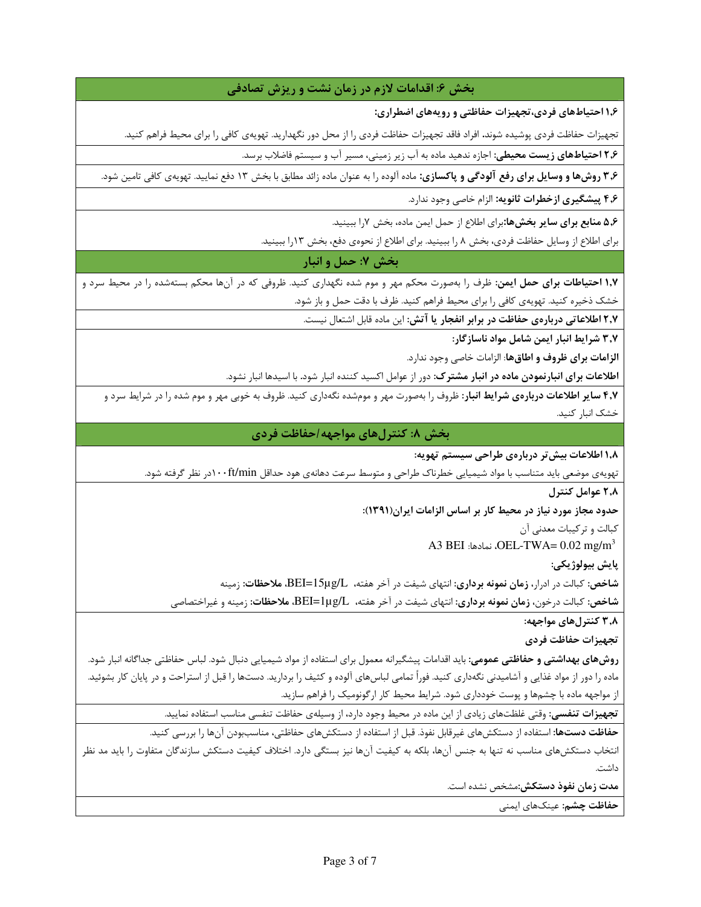### بخش ۶: اقدامات لازم در زمان نشت و ریزش تصادفی

۱٫۶ احتیاطهای فردی،تجهیزات حفاظتی و رویههای اضطراری:

تجهیزات حفاظت فردی پوشیده شوند. افراد فاقد تجهیزات حفاظت فردی را از محل دور نگهدارید. تهویهی کافی را برای محیط فراهم کنید.

**۲٫۶ احتیاطهای زیست محیطی:** اجازه ندهید ماده به آب زیر زمینی، مسیر آب و سیستم فاضلاب برسد.

**۳٫۶ روشها و وسایل برای رفع آلودگی و پاکسازی:** ماده آلوده را به عنوان ماده زائد مطابق با بخش ۱۳ دفع نمایید. تهویهی کافی تامین شود.

۴٫۶ پیشگیری ازخطرات ثانویه: الزام خاصی وجود ندارد.

۵٫۶ منابع برای سایر بخشها:برای اطلاع از حمل ایمن ماده، بخش ۷٫ا ببینید.

برای اطلاع از وسایل حفاظت فردی، بخش ۸ را ببینید. برای اطلاع از نحوهی دفع، بخش ۱۳را ببینید.

## بخش 7: حمل و انبار

**۱٫۷ احتیاطات برای حمل ایمن**: ظرف را بهصورت محکم مهر و موم شده نگهداری کنید. ظروفی که در آنها محکم بستهشده را در محیط سرد و خشک ذخیره کنید. تهویهی کافی را برای محیط فراهم کنید. ظرف با دقت حمل و باز شود.

۲٫۷ اطلاعاتی دربارهی حفاظت در برابر انفجار یا آتش: این ماده قابل اشتعال نیست.

۳٫۷ شرایط انبار ایمن شامل مواد ناسازگار:

الزامات براي ظروف و اطاق ها: الزامات خاصي وجود ندارد.

**اطلاعات برای انبارنمودن ماده در انبار مشترک**: دور از عوامل اکسید کننده انبار شود. با اسیدها انبار نشود.

۴٫۷ سایر اطلاعات دربارهی شرایط انبار: ظروف را بهصورت مهر و مومشده نگهداری کنید. ظروف به خوبی مهر و موم شده را در شرایط سرد و خشک انبار کنید.

بخش ۸: کنترلهای مواجهه/حفاظت فردی

۱٫۸ اطلاعات بیش تر دربارهی طراحی سیستم تهویه:

تهویهی موضعی باید متناسب با مواد شیمیایی خطرناک طراحی و متوسط سرعت دهانهی هود حداقل ۱۰۰ft/minدر نظر گرفته شود.

٢٫٨ عوامل كنترل

حدود مجاز مورد نیاز در محیط کار بر اساس الزامات ایران(۱۳۹۱):

كبالت و تركيبات معدني آن

A3 BEI :نمادها: OEL-TWA=  $0.02 \text{ mg/m}^3$ 

پايش بيولوژيکي:

شاخص: کبالت در ادرار، **زمان نمونه برداری**: انتهای شیفت در آخر هفته، BEI=15μg/L، ملاحظات: زمینه

شاخص: کبالت درخون**، زمان نمونه برداری**: انتهای شیفت در آخر هفته، BEI=1µg/L، ملاحظات: زمینه و غیراختصاصی

۳٫۸ کنترلهای مواجهه:

تجهيزات حفاظت فردي

**روشهای بهداشتی و حفاظتی عمومی**: باید اقدامات پیشگیرانه معمول برای استفاده از مواد شیمیایی دنبال شود. لباس حفاظتی جداگانه انبار شود. ماده را دور از مواد غذایی و آشامیدنی نگهداری کنید. فوراً تمامی لباسهای آلوده و کثیف را بردارید. دستها را قبل از استراحت و در پایان کار بشوئید. از مواجهه ماده با چشمها و پوست خودداری شود. شرایط محیط کار ارگونومیک را فراهم سازید.

تجهیزات تنفسی: وقتی غلظتهای زیادی از این ماده در محیط وجود دارد، از وسیلهی حفاظت تنفسی مناسب استفاده نمایید.

حفاظت دستها: استفاده از دستکشهای غیرقابل نفوذ. قبل از استفاده از دستکشهای حفاظتی، مناسببودن آنها را بررسی کنید. انتخاب دستکش۵ای مناسب نه تنها به جنس آنها، بلکه به کیفیت آنها نیز بستگی دارد. اختلاف کیفیت دستکش سازندگان متفاوت را باید مد نظر

داشت.

مدت زمان نفوذ دستکش:مشخص نشده است.

حفاظت چشم: عینکهای ایمنی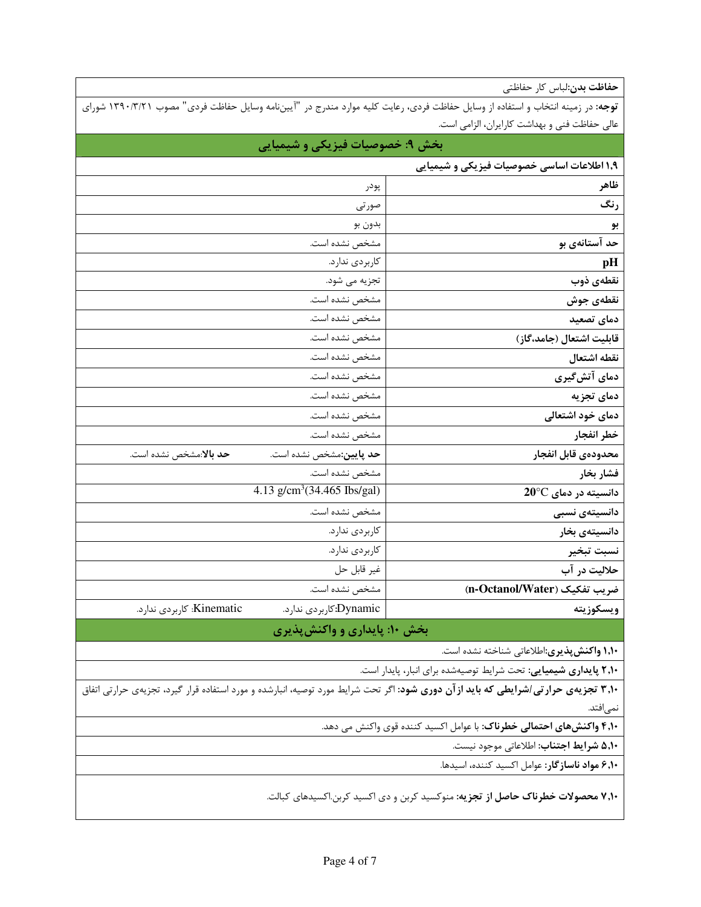**حفاظت بدن**:لباس كار حفاظتى

| <b>توجه</b> : در زمینه انتخاب و استفاده از وسایل حفاظت فردی، رعایت کلیه موارد مندرج در "آییننامه وسایل حفاظت فردی" مصوب ۱۳۹۰/۳/۲۱ شورای |                                               |
|-----------------------------------------------------------------------------------------------------------------------------------------|-----------------------------------------------|
|                                                                                                                                         | عالی حفاظت فنی و بهداشت کارایران، الزامی است. |
|                                                                                                                                         |                                               |

| بخش ۹: خصوصیات فیزیکی و شیمیایی                           |                                                    |
|-----------------------------------------------------------|----------------------------------------------------|
|                                                           | ۱٫۹ اطلاعات اساسی خصوصیات فیزیکی و شیمیایی         |
| پودر                                                      | ظاهر                                               |
| صورتى                                                     | رنگ                                                |
| بدون بو                                                   | بو                                                 |
| مشخص نشده است.                                            | حد آستانهی بو                                      |
| كاربردى ندارد.                                            | pH                                                 |
| تجزیه می شود.                                             | نقطەي ذوب                                          |
| مشخص نشده است.                                            | نقطهى جوش                                          |
| مشخص نشده است.                                            | دمای تصعید                                         |
| مشخص نشده است.                                            | قابليت اشتعال (جامد،گاز)                           |
| مشخص نشده است.                                            | نقطه اشتعال                                        |
| مشخص نشده است.                                            | دمای آتشگیری                                       |
| مشخص نشده است.                                            | دمای تجزیه                                         |
| مشخص نشده است.                                            | دمای خود اشتعالی                                   |
| مشخص نشده است.                                            | خطر انفجار                                         |
| <b>حد پایین:</b> مشخص نشده است.<br>حد بالا:مشخص نشده است. | محدودهي قابل انفجار                                |
| مشخص نشده است.                                            | فشار بخار                                          |
| 4.13 g/cm <sup>3</sup> (34.465 Ibs/gal)                   | دانسیته در دمای 20°C                               |
| مشخص نشده است.                                            | دانسیتەی نسبی                                      |
| كاربردى ندارد.                                            | دانسيتەي بخار                                      |
| كاربردى ندارد.                                            | نسبت تبخير                                         |
| غير قابل حل                                               | حلاليت در آب                                       |
| مشخص نشده است.                                            | ضريب تفكيك (n-Octanol/Water)                       |
| Kinematic: كاربردي ندارد.<br>Dynamic:كاربردى ندارد.       | ويسكوزيته                                          |
| بخش ۱۰: پایداری و واکنشپذیری                              |                                                    |
|                                                           | <b>۱٫۱۰ واکنش پذیری</b> :اطلاعاتی شناخته نشده است. |
|                                                           |                                                    |

**۲٫۱۰ پایداری شیمیایی:** تحت شرایط توصیهشده برای انبار، پایدار است.

**۳٫۱۰ تجزیهی حرارتی/شرایطی که باید ازآن دوری شود: اگ**ر تحت شرایط مورد توصیه، انبارشده و مورد استفاده قرار گیرد، تجزیهی حرارتی اتفاق نمى|فتد.

**۴٫۱۰ واکنشهای احتمالی خطرناک**: با عوامل اکسید کننده قوی واکنش می دهد.

**۵٬۱۰ شرايط اجتناب**: اطلاعاتي موجود نيست.

**۶٬۱۰ مواد ناسازگار:** عوامل اکسید کننده، اسیدها.

**۷٬۱۰ محصولات خطرناک حاصل از تجزیه:** منوکسید کربن و دی اکسید کربن.اکسیدهای کبالت.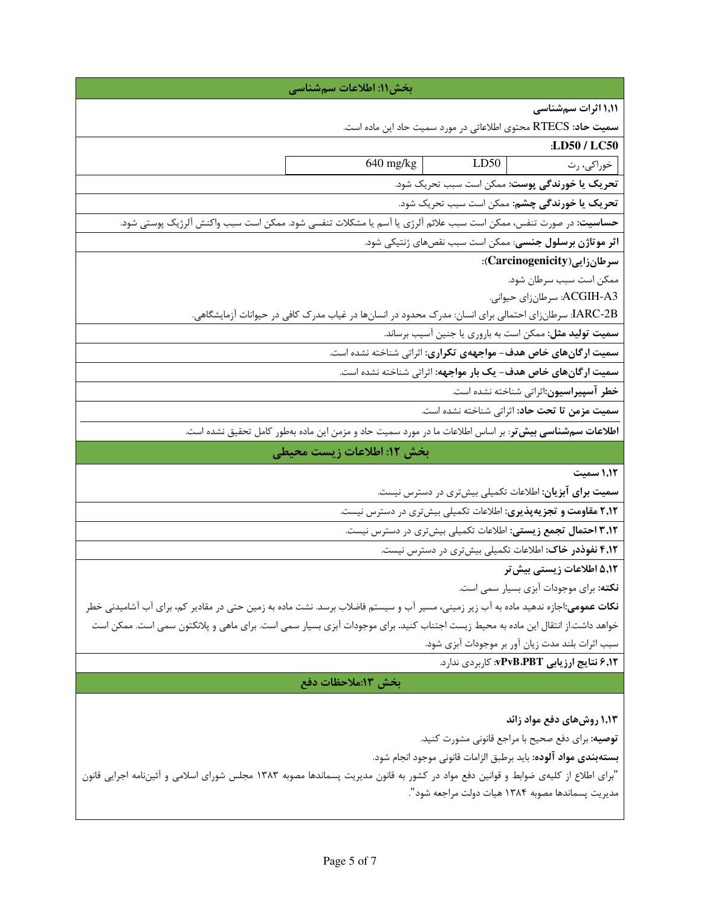| بخش١١: اطلاعات سمشناسي                                                                                                                    |
|-------------------------------------------------------------------------------------------------------------------------------------------|
| ۱٬۱۱ اثرات سمشناسی                                                                                                                        |
| <b>سمیت حاد:</b> RTECS محتوی اطلاعاتی در مورد سمیت حاد این ماده است.                                                                      |
| :LD50 / LC50                                                                                                                              |
| 640 mg/kg<br>LD50<br>خوراکی، رت                                                                                                           |
| تحریک یا خورندگی پوست: ممکن است سبب تحریک شود.                                                                                            |
| تحریک یا خورندگی چشم: ممکن است سبب تحریک شود.                                                                                             |
| حساسیت: در صورت تنفس، ممکن است سبب علائم آلرژی یا آسم یا مشکلات تنفسی شود. ممکن است سبب واکنش آلرژیک پوستی شود.                           |
| اثر موتاژن برسلول جنسی: ممکن است سبب نقصهای ژنتیکی شود.                                                                                   |
| سرطان زايى (Carcinogenicity):                                                                                                             |
| ممكن است سبب سرطان شود.                                                                                                                   |
| ACGIH-A3: سرطانزاي حيواني.                                                                                                                |
| IARC-2B: سرطانزای احتمالی برای انسان: مدرک محدود در انسانها در غیاب مدرک کافی در حیوانات آزمایشگاهی.                                      |
| <b>سمیت تولید مثل:</b> ممکن است به باروری یا جنین آسیب برساند.                                                                            |
| سمیت ارگانهای خاص هدف- مواجههی تکراری: اثراتی شناخته نشده است.                                                                            |
| سمیت ارگانهای خاص هدف- یک بار مواجهه: اثراتی شناخته نشده است.                                                                             |
| خطر آسپیراسیون:اثراتی شناخته نشده است.                                                                                                    |
| سميت مزمن تا تحت حاد: اثراتي شناخته نشده است.                                                                                             |
| <b>اطلاعات سمشناسی بیش تر</b> : بر اساس اطلاعات ما در مورد سمیت حاد و مزمن این ماده بهطور کامل تحقیق نشده است.                            |
| بخش ١٢: اطلاعات زيست محيطي                                                                                                                |
| ١,١٢ سميت                                                                                                                                 |
| <b>سمیت برای آبزیان</b> : اطلاعات تکمیلی بیشتری در دسترس نیست.                                                                            |
| ۲٫۱۲ مقاومت و تجزیهپذیری: اطلاعات تکمیلی بیشتری در دسترس نیست.                                                                            |
| ۰٫۱۲ احتمال تجمع زیستی: اطلاعات تکمیلی بیشتری در دسترس نیست.                                                                              |
| ۴٫۱۲ نفوذدر خاک: اطلاعات تکمیلی بیشتری در دسترس نیست.                                                                                     |
| ۵٬۱۲ اطلاعات زیستی بیش تر                                                                                                                 |
| <b>نکته</b> : برای موجودات آبزی بسیار سمی است.                                                                                            |
| <b>نکات عمومی</b> :اجازه ندهید ماده به آب زیر زمینی، مسیر آب و سیستم فاضلاب برسد. نشت ماده به زمین حتی در مقادیر کم، برای آب آشامیدنی خطر |
| خواهد داشت.از انتقال این ماده به محیط زیست اجتناب کنید. برای موجودات آبزی بسیار سمی است. برای ماهی و پلانکتون سمی است. ممکن است           |
| سبب اثرات بلند مدت زيان آور بر موجودات آبزي شود.                                                                                          |
| ۶٫۱۲ نتایج ارزیابی PvB،PBT: کاربردی ندارد.                                                                                                |
| بخش ١٣:ملاحظات دفع                                                                                                                        |
|                                                                                                                                           |
| ۱٬۱۳ روشهای دفع مواد زائد                                                                                                                 |
| <b>توصیه:</b> برای دفع صحیح با مراجع قانونی مشورت کنید.                                                                                   |
| <b>بستهبندي مواد آلوده:</b> بايد برطبق الزامات قانوني موجود انجام شود.                                                                    |
| "برای اطلاع از کلیهی ضوابط و قوانین دفع مواد در کشور به قانون مدیریت پسماندها مصوبه ۱۳۸۳ مجلس شورای اسلامی و آئیننامه اجرایی قانون        |
| مديريت پسماندها مصوبه ١٣٨۴ هيات دولت مراجعه شود".                                                                                         |
|                                                                                                                                           |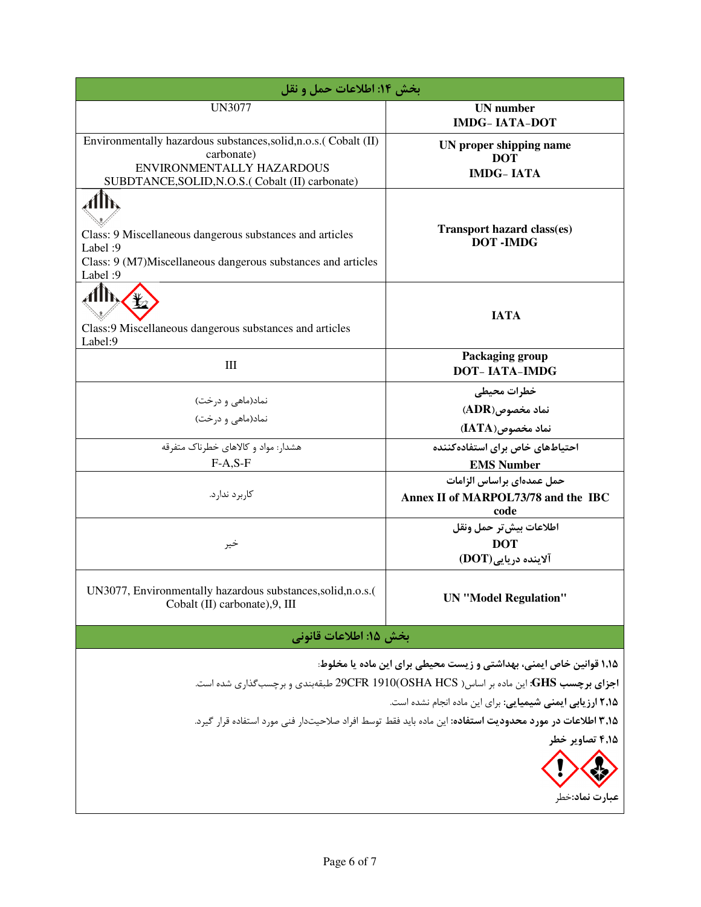| بخش ١٤: اطلاعات حمل و نقل                                                                                                                                                                                                                                                                                                                                                  |                                                                          |  |
|----------------------------------------------------------------------------------------------------------------------------------------------------------------------------------------------------------------------------------------------------------------------------------------------------------------------------------------------------------------------------|--------------------------------------------------------------------------|--|
| <b>UN3077</b>                                                                                                                                                                                                                                                                                                                                                              | <b>UN</b> number<br><b>IMDG-IATA-DOT</b>                                 |  |
| Environmentally hazardous substances, solid, n.o.s. (Cobalt (II)<br>carbonate)<br>ENVIRONMENTALLY HAZARDOUS<br>SUBDTANCE, SOLID, N.O.S. (Cobalt (II) carbonate)                                                                                                                                                                                                            | UN proper shipping name<br><b>DOT</b><br><b>IMDG-IATA</b>                |  |
| Class: 9 Miscellaneous dangerous substances and articles<br>Label: 9<br>Class: 9 (M7)Miscellaneous dangerous substances and articles<br>Label: 9                                                                                                                                                                                                                           | <b>Transport hazard class(es)</b><br><b>DOT-IMDG</b>                     |  |
| 4Th<br>Class:9 Miscellaneous dangerous substances and articles<br>Label:9                                                                                                                                                                                                                                                                                                  | <b>IATA</b>                                                              |  |
| $\rm III$                                                                                                                                                                                                                                                                                                                                                                  | Packaging group<br><b>DOT-IATA-IMDG</b>                                  |  |
| نماد(ماهی و درخت)<br>نماد(ماهی و درخت)                                                                                                                                                                                                                                                                                                                                     | خطرات محيطي<br>$(ADR)$ نماد مخصوص<br>نماد مخصوص(IATA)                    |  |
| هشدار: مواد و کالاهای خطرناک متفرقه<br>$F-A, S-F$                                                                                                                                                                                                                                                                                                                          | احتیاطهای خاص برای استفاده کننده<br><b>EMS Number</b>                    |  |
| کاربر د ندار د.                                                                                                                                                                                                                                                                                                                                                            | حمل عمدهای براساس الزامات<br>Annex II of MARPOL73/78 and the IBC<br>code |  |
| خير                                                                                                                                                                                                                                                                                                                                                                        | اطلاعات بيش تر حمل ونقل<br><b>DOT</b><br>آلاینده دریایی(DOT)             |  |
| UN3077, Environmentally hazardous substances, solid, n.o.s.(<br>Cobalt (II) carbonate), 9, III                                                                                                                                                                                                                                                                             | <b>UN</b> "Model Regulation"                                             |  |
| بخش ١۵: اطلاعات قانوني                                                                                                                                                                                                                                                                                                                                                     |                                                                          |  |
| ۱٬۱۵ قوانین خاص ایمنی، بهداشتی و زیست محیطی برای این ماده یا مخلوط:<br>اجزای برچسب GHS: این ماده بر اساس( OSHA HCS)29CFR 1910 طبقهبندی و برچسبگذاری شده است.<br>۲٫۱۵ ارزیابی ایمنی شیمیایی: برای این ماده انجام نشده است.<br>۲٫۱۵ اطلاعات در مورد محدودیت استفاده: این ماده باید فقط توسط افراد صلاحیتدار فنی مورد استفاده قرار گیرد.<br>۴٬۱۵ تصاویر خطر<br>عبارت نماد:خطر |                                                                          |  |